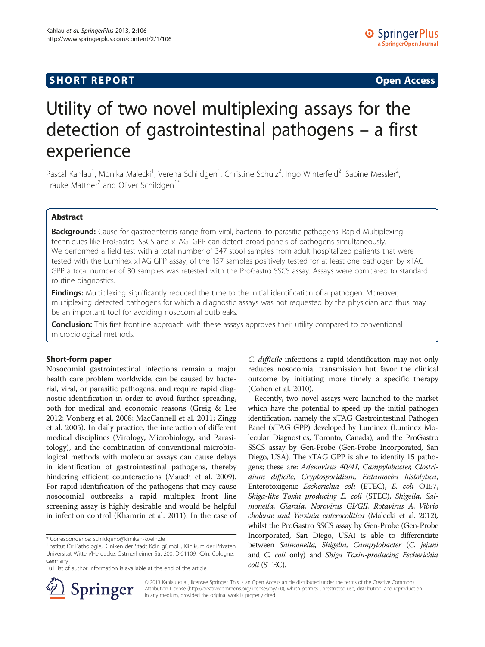## **SHORT REPORT CONSUMING THE OPEN ACCESS**

# Utility of two novel multiplexing assays for the detection of gastrointestinal pathogens – a first experience

Pascal Kahlau<sup>1</sup>, Monika Malecki<sup>1</sup>, Verena Schildgen<sup>1</sup>, Christine Schulz<sup>2</sup>, Ingo Winterfeld<sup>2</sup>, Sabine Messler<sup>2</sup> , Frauke Mattner<sup>2</sup> and Oliver Schildgen<sup>1\*</sup>

## Abstract

Background: Cause for gastroenteritis range from viral, bacterial to parasitic pathogens. Rapid Multiplexing techniques like ProGastro\_SSCS and xTAG\_GPP can detect broad panels of pathogens simultaneously. We performed a field test with a total number of 347 stool samples from adult hospitalized patients that were tested with the Luminex xTAG GPP assay; of the 157 samples positively tested for at least one pathogen by xTAG GPP a total number of 30 samples was retested with the ProGastro SSCS assay. Assays were compared to standard routine diagnostics.

**Findings:** Multiplexing significantly reduced the time to the initial identification of a pathogen. Moreover, multiplexing detected pathogens for which a diagnostic assays was not requested by the physician and thus may be an important tool for avoiding nosocomial outbreaks.

**Conclusion:** This first frontline approach with these assays approves their utility compared to conventional microbiological methods.

### Short-form paper

Nosocomial gastrointestinal infections remain a major health care problem worldwide, can be caused by bacterial, viral, or parasitic pathogens, and require rapid diagnostic identification in order to avoid further spreading, both for medical and economic reasons (Greig & Lee [2012](#page-5-0); Vonberg et al. [2008](#page-5-0); MacCannell et al. [2011;](#page-5-0) Zingg et al. [2005\)](#page-5-0). In daily practice, the interaction of different medical disciplines (Virology, Microbiology, and Parasitology), and the combination of conventional microbiological methods with molecular assays can cause delays in identification of gastrointestinal pathogens, thereby hindering efficient counteractions (Mauch et al. [2009](#page-5-0)). For rapid identification of the pathogens that may cause nosocomial outbreaks a rapid multiplex front line screening assay is highly desirable and would be helpful in infection control (Khamrin et al. [2011](#page-5-0)). In the case of C. difficile infections a rapid identification may not only reduces nosocomial transmission but favor the clinical outcome by initiating more timely a specific therapy (Cohen et al. [2010\)](#page-5-0).

Recently, two novel assays were launched to the market which have the potential to speed up the initial pathogen identification, namely the xTAG Gastrointestinal Pathogen Panel (xTAG GPP) developed by Luminex (Luminex Molecular Diagnostics, Toronto, Canada), and the ProGastro SSCS assay by Gen-Probe (Gen-Probe Incorporated, San Diego, USA). The xTAG GPP is able to identify 15 pathogens; these are: Adenovirus 40/41, Campylobacter, Clostridium difficile, Cryptosporidium, Entamoeba histolytica, Enterotoxigenic Escherichia coli (ETEC), E. coli O157, Shiga-like Toxin producing E. coli (STEC), Shigella, Salmonella, Giardia, Norovirus GI/GII, Rotavirus A, Vibrio cholerae and Yersinia enterocolitica (Malecki et al. [2012](#page-5-0)), whilst the ProGastro SSCS assay by Gen-Probe (Gen-Probe Incorporated, San Diego, USA) is able to differentiate between Salmonella, Shigella, Campylobacter (C. jejuni and C. coli only) and Shiga Toxin-producing Escherichia coli (STEC).



© 2013 Kahlau et al.; licensee Springer. This is an Open Access article distributed under the terms of the Creative Commons Attribution License [\(http://creativecommons.org/licenses/by/2.0\)](http://creativecommons.org/licenses/by/2.0), which permits unrestricted use, distribution, and reproduction in any medium, provided the original work is properly cited.

<sup>\*</sup> Correspondence: [schildgeno@kliniken-koeln.de](mailto:schildgeno@kliniken-koeln.de) <sup>1</sup>

Institut für Pathologie, Kliniken der Stadt Köln gGmbH, Klinikum der Privaten Universität Witten/Herdecke, Ostmerheimer Str. 200, D-51109, Köln, Cologne, Germany

Full list of author information is available at the end of the article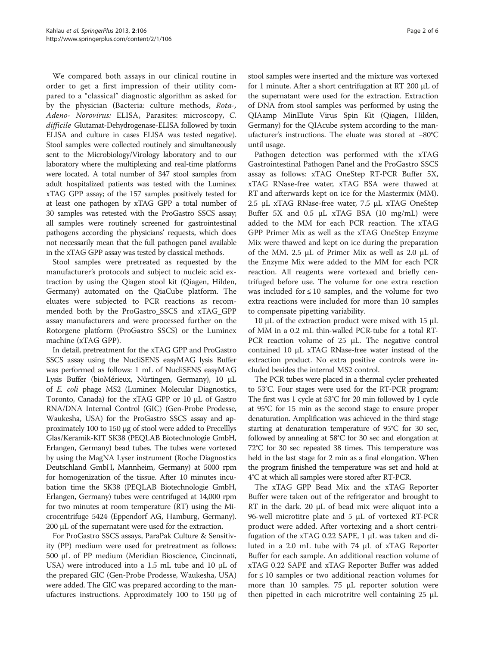We compared both assays in our clinical routine in order to get a first impression of their utility compared to a "classical" diagnostic algorithm as asked for by the physician (Bacteria: culture methods, Rota-, Adeno- Norovirus: ELISA, Parasites: microscopy, C. difficile Glutamat-Dehydrogenase-ELISA followed by toxin ELISA and culture in cases ELISA was tested negative). Stool samples were collected routinely and simultaneously sent to the Microbiology/Virology laboratory and to our laboratory where the multiplexing and real-time platforms were located. A total number of 347 stool samples from adult hospitalized patients was tested with the Luminex xTAG GPP assay; of the 157 samples positively tested for at least one pathogen by xTAG GPP a total number of 30 samples was retested with the ProGastro SSCS assay; all samples were routinely screened for gastrointestinal pathogens according the physicians' requests, which does not necessarily mean that the full pathogen panel available in the xTAG GPP assay was tested by classical methods.

Stool samples were pretreated as requested by the manufacturer's protocols and subject to nucleic acid extraction by using the Qiagen stool kit (Qiagen, Hilden, Germany) automated on the QiaCube platform. The eluates were subjected to PCR reactions as recommended both by the ProGastro\_SSCS and xTAG\_GPP assay manufacturers and were processed further on the Rotorgene platform (ProGastro SSCS) or the Luminex machine (xTAG GPP).

In detail, pretreatment for the xTAG GPP and ProGastro SSCS assay using the NucliSENS easyMAG lysis Buffer was performed as follows: 1 mL of NucliSENS easyMAG Lysis Buffer (bioMérieux, Nürtingen, Germany), 10 μL of E. coli phage MS2 (Luminex Molecular Diagnostics, Toronto, Canada) for the xTAG GPP or 10 μL of Gastro RNA/DNA Internal Control (GIC) (Gen-Probe Prodesse, Waukesha, USA) for the ProGastro SSCS assay and approximately 100 to 150 μg of stool were added to Precelllys Glas/Keramik-KIT SK38 (PEQLAB Biotechnologie GmbH, Erlangen, Germany) bead tubes. The tubes were vortexed by using the MagNA Lyser instrument (Roche Diagnostics Deutschland GmbH, Mannheim, Germany) at 5000 rpm for homogenization of the tissue. After 10 minutes incubation time the SK38 (PEQLAB Biotechnologie GmbH, Erlangen, Germany) tubes were centrifuged at 14,000 rpm for two minutes at room temperature (RT) using the Microcentrifuge 5424 (Eppendorf AG, Hamburg, Germany). 200 μL of the supernatant were used for the extraction.

For ProGastro SSCS assays, ParaPak Culture & Sensitivity (PP) medium were used for pretreatment as follows: 500 μL of PP medium (Meridian Bioscience, Cincinnati, USA) were introduced into a 1.5 mL tube and 10 μL of the prepared GIC (Gen-Probe Prodesse, Waukesha, USA) were added. The GIC was prepared according to the manufactures instructions. Approximately 100 to 150 μg of stool samples were inserted and the mixture was vortexed for 1 minute. After a short centrifugation at RT 200 μL of the supernatant were used for the extraction. Extraction of DNA from stool samples was performed by using the QIAamp MinElute Virus Spin Kit (Qiagen, Hilden, Germany) for the QIAcube system according to the manufacturer's instructions. The eluate was stored at −80°C until usage.

Pathogen detection was performed with the xTAG Gastrointestinal Pathogen Panel and the ProGastro SSCS assay as follows: xTAG OneStep RT-PCR Buffer 5X, xTAG RNase-free water, xTAG BSA were thawed at RT and afterwards kept on ice for the Mastermix (MM). 2.5 μL xTAG RNase-free water, 7.5 μL xTAG OneStep Buffer 5X and 0.5 μL xTAG BSA (10 mg/mL) were added to the MM for each PCR reaction. The xTAG GPP Primer Mix as well as the xTAG OneStep Enzyme Mix were thawed and kept on ice during the preparation of the MM. 2.5 μL of Primer Mix as well as 2.0 μL of the Enzyme Mix were added to the MM for each PCR reaction. All reagents were vortexed and briefly centrifuged before use. The volume for one extra reaction was included for  $\leq 10$  samples, and the volume for two extra reactions were included for more than 10 samples to compensate pipetting variability.

10 μL of the extraction product were mixed with 15 μL of MM in a 0.2 mL thin-walled PCR-tube for a total RT-PCR reaction volume of 25 μL. The negative control contained 10 μL xTAG RNase-free water instead of the extraction product. No extra positive controls were included besides the internal MS2 control.

The PCR tubes were placed in a thermal cycler preheated to 53°C. Four stages were used for the RT-PCR program: The first was 1 cycle at 53°C for 20 min followed by 1 cycle at 95°C for 15 min as the second stage to ensure proper denaturation. Amplification was achieved in the third stage starting at denaturation temperature of 95°C for 30 sec, followed by annealing at 58°C for 30 sec and elongation at 72°C for 30 sec repeated 38 times. This temperature was held in the last stage for 2 min as a final elongation. When the program finished the temperature was set and hold at 4°C at which all samples were stored after RT-PCR.

The xTAG GPP Bead Mix and the xTAG Reporter Buffer were taken out of the refrigerator and brought to RT in the dark. 20 μL of bead mix were aliquot into a 96-well microtitre plate and 5 μL of vortexed RT-PCR product were added. After vortexing and a short centrifugation of the xTAG 0.22 SAPE, 1 μL was taken and diluted in a 2.0 mL tube with 74 μL of xTAG Reporter Buffer for each sample. An additional reaction volume of xTAG 0.22 SAPE and xTAG Reporter Buffer was added for ≤ 10 samples or two additional reaction volumes for more than 10 samples. 75 μL reporter solution were then pipetted in each microtritre well containing 25 μL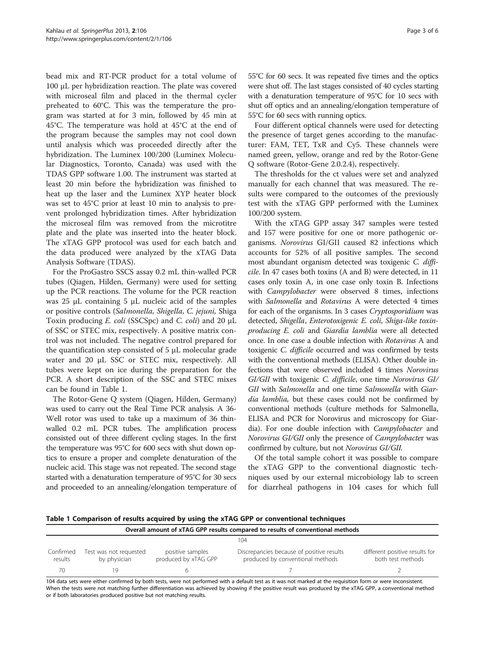<span id="page-2-0"></span>bead mix and RT-PCR product for a total volume of 100 μL per hybridization reaction. The plate was covered with microseal film and placed in the thermal cycler preheated to 60°C. This was the temperature the program was started at for 3 min, followed by 45 min at 45°C. The temperature was hold at 45°C at the end of the program because the samples may not cool down until analysis which was proceeded directly after the hybridization. The Luminex 100/200 (Luminex Molecular Diagnostics, Toronto, Canada) was used with the TDAS GPP software 1.00. The instrument was started at least 20 min before the hybridization was finished to heat up the laser and the Luminex XYP heater block was set to 45°C prior at least 10 min to analysis to prevent prolonged hybridization times. After hybridization the microseal film was removed from the microtitre plate and the plate was inserted into the heater block. The xTAG GPP protocol was used for each batch and the data produced were analyzed by the xTAG Data Analysis Software (TDAS).

For the ProGastro SSCS assay 0.2 mL thin-walled PCR tubes (Qiagen, Hilden, Germany) were used for setting up the PCR reactions. The volume for the PCR reaction was 25 μL containing 5 μL nucleic acid of the samples or positive controls (Salmonella, Shigella, C. jejuni, Shiga Toxin producing E. coli (SSCSpc) and C. coli) and 20 μL of SSC or STEC mix, respectively. A positive matrix control was not included. The negative control prepared for the quantification step consisted of 5 μL molecular grade water and 20 μL SSC or STEC mix, respectively. All tubes were kept on ice during the preparation for the PCR. A short description of the SSC and STEC mixes can be found in Table 1.

The Rotor-Gene Q system (Qiagen, Hilden, Germany) was used to carry out the Real Time PCR analysis. A 36- Well rotor was used to take up a maximum of 36 thinwalled 0.2 mL PCR tubes. The amplification process consisted out of three different cycling stages. In the first the temperature was 95°C for 600 secs with shut down optics to ensure a proper and complete denaturation of the nucleic acid. This stage was not repeated. The second stage started with a denaturation temperature of 95°C for 30 secs and proceeded to an annealing/elongation temperature of 55°C for 60 secs. It was repeated five times and the optics were shut off. The last stages consisted of 40 cycles starting with a denaturation temperature of 95°C for 10 secs with shut off optics and an annealing/elongation temperature of 55°C for 60 secs with running optics.

Four different optical channels were used for detecting the presence of target genes according to the manufacturer: FAM, TET, TxR and Cy5. These channels were named green, yellow, orange and red by the Rotor-Gene Q software (Rotor-Gene 2.0.2.4), respectively.

The thresholds for the ct values were set and analyzed manually for each channel that was measured. The results were compared to the outcomes of the previously test with the xTAG GPP performed with the Luminex 100/200 system.

With the xTAG GPP assay 347 samples were tested and 157 were positive for one or more pathogenic organisms. Norovirus GI/GII caused 82 infections which accounts for 52% of all positive samples. The second most abundant organism detected was toxigenic C. difficile. In 47 cases both toxins (A and B) were detected, in 11 cases only toxin A, in one case only toxin B. Infections with Campylobacter were observed 8 times, infections with Salmonella and Rotavirus A were detected 4 times for each of the organisms. In 3 cases Cryptosporidium was detected, Shigella, Enterotoxigenic E. coli, Shiga-like toxinproducing E. coli and Giardia lamblia were all detected once. In one case a double infection with Rotavirus A and toxigenic C. difficile occurred and was confirmed by tests with the conventional methods (ELISA). Other double infections that were observed included 4 times Norovirus GI/GII with toxigenic C. difficile, one time Norovirus GI/ GII with Salmonella and one time Salmonella with Giardia lamblia, but these cases could not be confirmed by conventional methods (culture methods for Salmonella, ELISA and PCR for Norovirus and microscopy for Giardia). For one double infection with *Campylobacter* and Norovirus GI/GII only the presence of Campylobacter was confirmed by culture, but not Norovirus GI/GII.

Of the total sample cohort it was possible to compare the xTAG GPP to the conventional diagnostic techniques used by our external microbiology lab to screen for diarrheal pathogens in 104 cases for which full

|  |  |  |  |  | Table 1 Comparison of results acquired by using the xTAG GPP or conventional techniques |
|--|--|--|--|--|-----------------------------------------------------------------------------------------|
|--|--|--|--|--|-----------------------------------------------------------------------------------------|

| Overall amount of xTAG GPP results compared to results of conventional methods |                                        |                                          |                                                                                                                                                                                                                                               |                                                     |  |  |
|--------------------------------------------------------------------------------|----------------------------------------|------------------------------------------|-----------------------------------------------------------------------------------------------------------------------------------------------------------------------------------------------------------------------------------------------|-----------------------------------------------------|--|--|
|                                                                                |                                        |                                          | 104                                                                                                                                                                                                                                           |                                                     |  |  |
| Confirmed<br>results                                                           | Test was not requested<br>by physician | positive samples<br>produced by xTAG GPP | Discrepancies because of positive results<br>produced by conventional methods                                                                                                                                                                 | different positive results for<br>both test methods |  |  |
| 70                                                                             |                                        |                                          |                                                                                                                                                                                                                                               |                                                     |  |  |
|                                                                                | .                                      |                                          | $\mathbf{r}$ , and the state of the state of the state of the state of the state of the state of the state of the state of the state of the state of the state of the state of the state of the state of the state of the state o<br>$\cdots$ |                                                     |  |  |

104 data sets were either confirmed by both tests, were not performed with a default test as it was not marked at the requisition form or were inconsistent. When the tests were not matching further differentiation was achieved by showing if the positive result was produced by the xTAG GPP, a conventional method or if both laboratories produced positive but not matching results.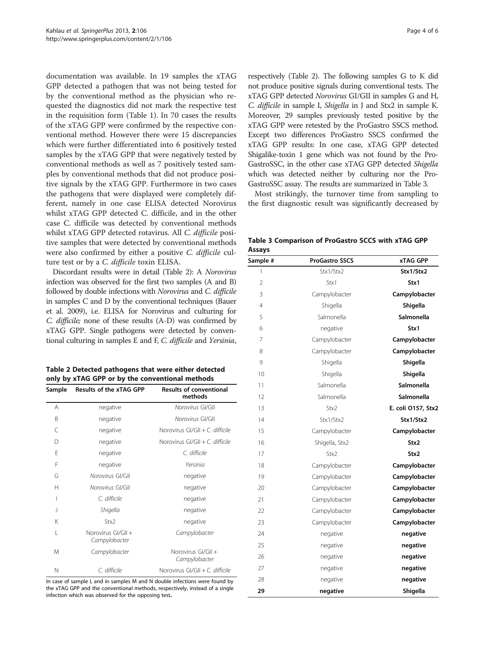documentation was available. In 19 samples the xTAG GPP detected a pathogen that was not being tested for by the conventional method as the physician who requested the diagnostics did not mark the respective test in the requisition form (Table [1\)](#page-2-0). In 70 cases the results of the xTAG GPP were confirmed by the respective conventional method. However there were 15 discrepancies which were further differentiated into 6 positively tested samples by the xTAG GPP that were negatively tested by conventional methods as well as 7 positively tested samples by conventional methods that did not produce positive signals by the xTAG GPP. Furthermore in two cases the pathogens that were displayed were completely different, namely in one case ELISA detected Norovirus whilst xTAG GPP detected C. difficile, and in the other case C. difficile was detected by conventional methods whilst xTAG GPP detected rotavirus. All C. difficile positive samples that were detected by conventional methods were also confirmed by either a positive C. difficile culture test or by a C. difficile toxin ELISA.

Discordant results were in detail (Table 2): A Norovirus infection was observed for the first two samples (A and B) followed by double infections with Norovirus and C. difficile in samples C and D by the conventional techniques (Bauer et al. [2009\)](#page-5-0), i.e. ELISA for Norovirus and culturing for C. difficile; none of these results (A-D) was confirmed by xTAG GPP. Single pathogens were detected by conventional culturing in samples E and F, C. difficile and Yersinia,

| Table 2 Detected pathogens that were either detected |
|------------------------------------------------------|
| only by xTAG GPP or by the conventional methods      |

| Sample                   | Results of the xTAG GPP             | <b>Results of conventional</b><br>methods |  |  |
|--------------------------|-------------------------------------|-------------------------------------------|--|--|
| A                        | negative                            | Norovirus GI/GII                          |  |  |
| B                        | negative                            | Norovirus GI/GII                          |  |  |
| C                        | negative                            | Norovirus $GI/GII + C$ . difficile        |  |  |
| D                        | negative                            | Norovirus $Gl/GII + C$ , difficile        |  |  |
| E                        | negative                            | C. difficile                              |  |  |
| F                        | negative                            | Yersinia                                  |  |  |
| G                        | Norovirus GI/GII                    | negative                                  |  |  |
| н                        | Norovirus GI/GII                    | negative                                  |  |  |
| I                        | C. difficile                        | negative                                  |  |  |
| $\overline{\phantom{a}}$ | Shigella                            | negative                                  |  |  |
| Κ                        | Stx <sub>2</sub>                    | negative                                  |  |  |
| L                        | Norovirus GI/GII +<br>Campylobacter | Campylobacter                             |  |  |
| M                        | Campylobacter                       | Norovirus GI/GII +<br>Campylobacter       |  |  |
| N                        | C. difficile                        | Norovirus $GI/GII + C$ . difficile        |  |  |

In case of sample L and in samples M and N double infections were found by the xTAG GPP and the conventional methods, respectively, instead of a single infection which was observed for the opposing test.

respectively (Table 2). The following samples G to K did not produce positive signals during conventional tests. The xTAG GPP detected Norovirus GI/GII in samples G and H, C. difficile in sample I, Shigella in J and Stx2 in sample K. Moreover, 29 samples previously tested positive by the xTAG GPP were retested by the ProGastro SSCS method. Except two differences ProGastro SSCS confirmed the xTAG GPP results: In one case, xTAG GPP detected Shigalike-toxin 1 gene which was not found by the Pro-GastroSSC, in the other case xTAG GPP detected Shigella which was detected neither by culturing nor the Pro-GastroSSC assay. The results are summarized in Table 3.

Most strikingly, the turnover time from sampling to the first diagnostic result was significantly decreased by

|        | Table 3 Comparison of ProGastro SCCS with xTAG GPP |  |  |  |
|--------|----------------------------------------------------|--|--|--|
| Assays |                                                    |  |  |  |

| Sample # | <b>ProGastro SSCS</b> | <b>xTAG GPP</b>    |
|----------|-----------------------|--------------------|
| 1        | Stx1/Stx2             | Stx1/Stx2          |
| 2        | Stx1                  | Stx1               |
| 3        | Campylobacter         | Campylobacter      |
| 4        | Shigella              | Shigella           |
| 5        | Salmonella            | <b>Salmonella</b>  |
| 6        | negative              | Stx1               |
| 7        | Campylobacter         | Campylobacter      |
| 8        | Campylobacter         | Campylobacter      |
| 9        | Shigella              | Shigella           |
| 10       | Shigella              | Shigella           |
| 11       | Salmonella            | Salmonella         |
| 12       | Salmonella            | Salmonella         |
| 13       | Stx2                  | E. coli 0157, Stx2 |
| 14       | Stx1/Stx2             | Stx1/Stx2          |
| 15       | Campylobacter         | Campylobacter      |
| 16       | Shigella, Stx2        | Stx2               |
| 17       | Stx2                  | Stx2               |
| 18       | Campylobacter         | Campylobacter      |
| 19       | Campylobacter         | Campylobacter      |
| 20       | Campylobacter         | Campylobacter      |
| 21       | Campylobacter         | Campylobacter      |
| 22       | Campylobacter         | Campylobacter      |
| 23       | Campylobacter         | Campylobacter      |
| 24       | negative              | negative           |
| 25       | negative              | negative           |
| 26       | negative              | negative           |
| 27       | negative              | negative           |
| 28       | negative              | negative           |
| 29       | negative              | Shigella           |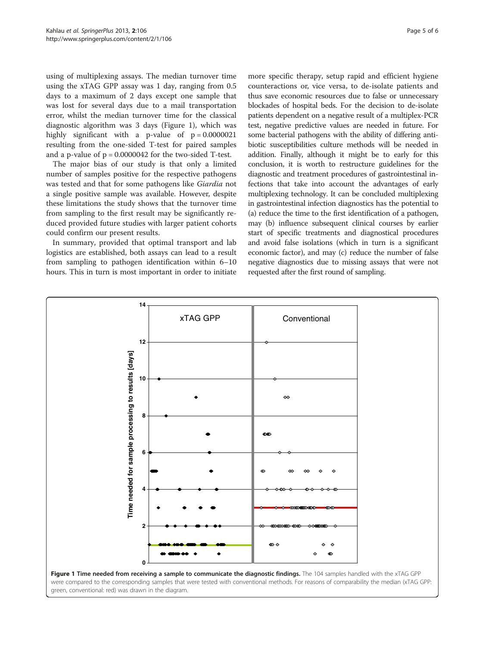using of multiplexing assays. The median turnover time using the xTAG GPP assay was 1 day, ranging from 0.5 days to a maximum of 2 days except one sample that was lost for several days due to a mail transportation error, whilst the median turnover time for the classical diagnostic algorithm was 3 days (Figure 1), which was highly significant with a p-value of  $p = 0.0000021$ resulting from the one-sided T-test for paired samples and a p-value of  $p = 0.0000042$  for the two-sided T-test.

The major bias of our study is that only a limited number of samples positive for the respective pathogens was tested and that for some pathogens like Giardia not a single positive sample was available. However, despite these limitations the study shows that the turnover time from sampling to the first result may be significantly reduced provided future studies with larger patient cohorts could confirm our present results.

In summary, provided that optimal transport and lab logistics are established, both assays can lead to a result from sampling to pathogen identification within 6–10 hours. This in turn is most important in order to initiate

more specific therapy, setup rapid and efficient hygiene counteractions or, vice versa, to de-isolate patients and thus save economic resources due to false or unnecessary blockades of hospital beds. For the decision to de-isolate patients dependent on a negative result of a multiplex-PCR test, negative predictive values are needed in future. For some bacterial pathogens with the ability of differing antibiotic susceptibilities culture methods will be needed in addition. Finally, although it might be to early for this conclusion, it is worth to restructure guidelines for the diagnostic and treatment procedures of gastrointestinal infections that take into account the advantages of early multiplexing technology. It can be concluded multiplexing in gastrointestinal infection diagnostics has the potential to (a) reduce the time to the first identification of a pathogen, may (b) influence subsequent clinical courses by earlier start of specific treatments and diagnostical procedures and avoid false isolations (which in turn is a significant economic factor), and may (c) reduce the number of false negative diagnostics due to missing assays that were not requested after the first round of sampling.